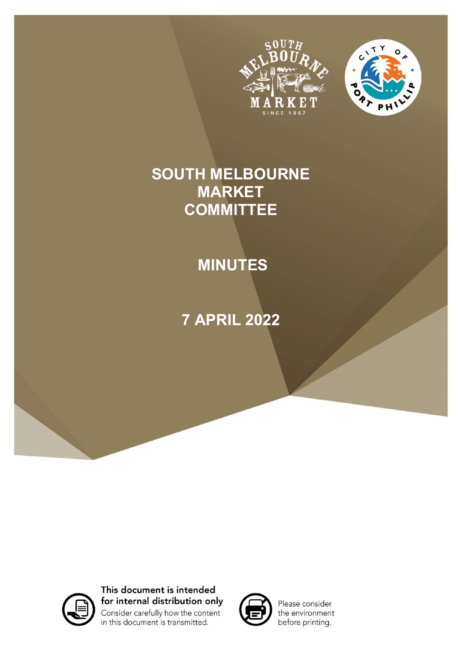



# **SOUTH MELBOURNE MARKET COMMITTEE**

# **MINUTES**

# **7 APRIL 2022**



This document is intended for internal distribution only Consider carefully how the content in this document is transmitted.



Please consider the environment before printing.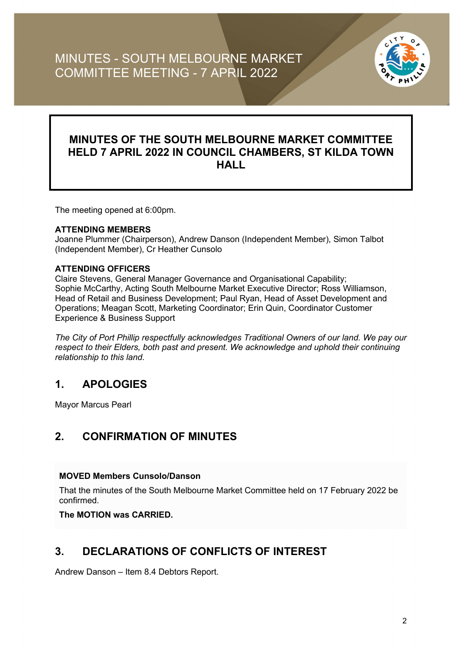

## **MINUTES OF THE SOUTH MELBOURNE MARKET COMMITTEE HELD 7 APRIL 2022 IN COUNCIL CHAMBERS, ST KILDA TOWN HALL**

The meeting opened at 6:00pm.

#### **ATTENDING MEMBERS**

Joanne Plummer (Chairperson), Andrew Danson (Independent Member), Simon Talbot (Independent Member), Cr Heather Cunsolo

#### **ATTENDING OFFICERS**

Claire Stevens, General Manager Governance and Organisational Capability; Sophie McCarthy, Acting South Melbourne Market Executive Director; Ross Williamson, Head of Retail and Business Development; Paul Ryan, Head of Asset Development and Operations; Meagan Scott, Marketing Coordinator; Erin Quin, Coordinator Customer Experience & Business Support

*The City of Port Phillip respectfully acknowledges Traditional Owners of our land. We pay our respect to their Elders, both past and present. We acknowledge and uphold their continuing relationship to this land.*

# **1. APOLOGIES**

Mayor Marcus Pearl

### **2. CONFIRMATION OF MINUTES**

#### **MOVED Members Cunsolo/Danson**

That the minutes of the South Melbourne Market Committee held on 17 February 2022 be confirmed.

**The MOTION was CARRIED.**

### **3. DECLARATIONS OF CONFLICTS OF INTEREST**

Andrew Danson – Item 8.4 Debtors Report.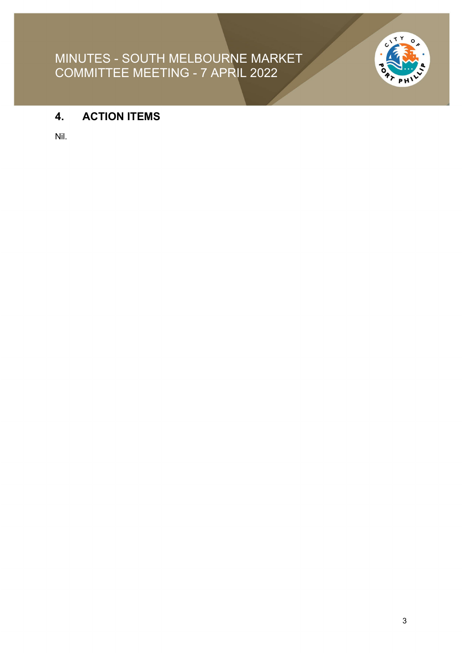

# **4. ACTION ITEMS**

Nil.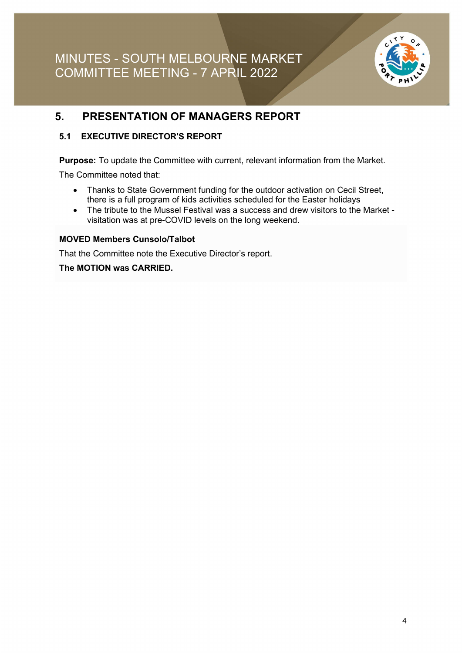

### **5. PRESENTATION OF MANAGERS REPORT**

#### **5.1 EXECUTIVE DIRECTOR'S REPORT**

**Purpose:** To update the Committee with current, relevant information from the Market.

The Committee noted that:

- Thanks to State Government funding for the outdoor activation on Cecil Street, there is a full program of kids activities scheduled for the Easter holidays
- The tribute to the Mussel Festival was a success and drew visitors to the Market visitation was at pre-COVID levels on the long weekend.

#### **MOVED Members Cunsolo/Talbot**

That the Committee note the Executive Director's report.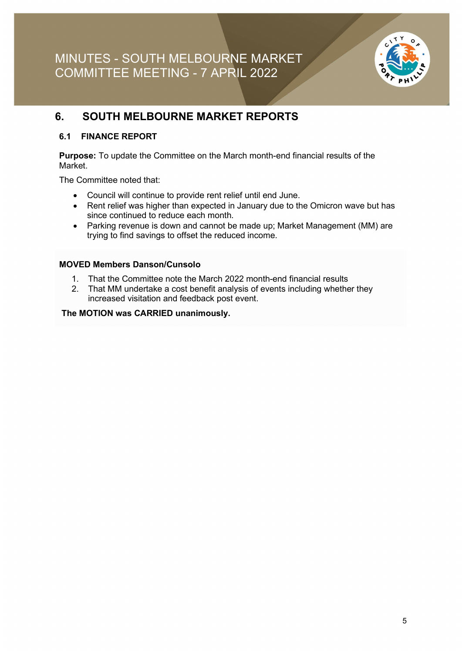

## **6. SOUTH MELBOURNE MARKET REPORTS**

#### **6.1 FINANCE REPORT**

**Purpose:** To update the Committee on the March month-end financial results of the Market.

The Committee noted that:

- Council will continue to provide rent relief until end June.
- Rent relief was higher than expected in January due to the Omicron wave but has since continued to reduce each month.
- Parking revenue is down and cannot be made up; Market Management (MM) are trying to find savings to offset the reduced income.

#### **MOVED Members Danson/Cunsolo**

- 1. That the Committee note the March 2022 month-end financial results
- 2. That MM undertake a cost benefit analysis of events including whether they increased visitation and feedback post event.

**The MOTION was CARRIED unanimously.**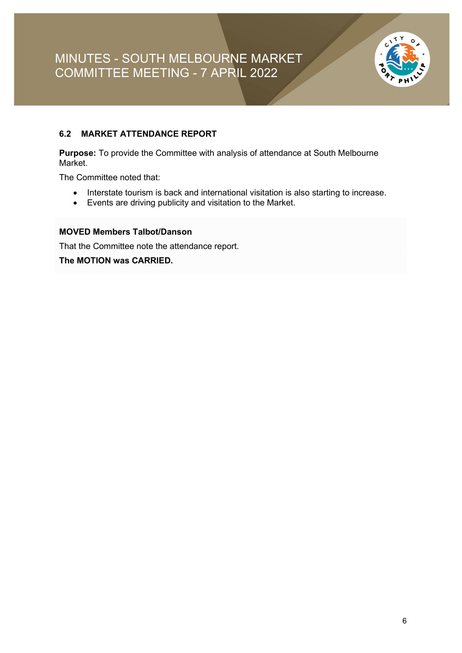

#### **6.2 MARKET ATTENDANCE REPORT**

**Purpose:** To provide the Committee with analysis of attendance at South Melbourne Market.

The Committee noted that:

- Interstate tourism is back and international visitation is also starting to increase.
- Events are driving publicity and visitation to the Market.

#### **MOVED Members Talbot/Danson**

That the Committee note the attendance report.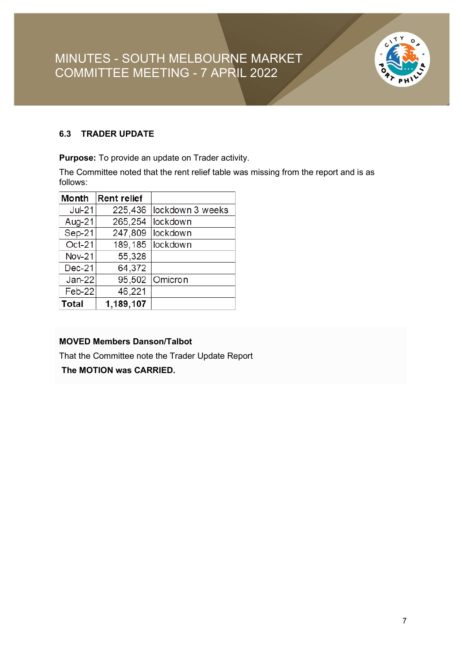

#### **6.3 TRADER UPDATE**

**Purpose:** To provide an update on Trader activity.

The Committee noted that the rent relief table was missing from the report and is as follows:

| <b>Month</b> | <b>Rent relief</b> |                  |
|--------------|--------------------|------------------|
| Jul-21       | 225,436            | lockdown 3 weeks |
| Aug-21       | 265,254            | lockdown         |
| Sep-21       | 247,809            | lockdown         |
| Oct-21       | 189,185            | lockdown         |
| Nov-21       | 55,328             |                  |
| $Dec-21$     | 64,372             |                  |
| $Jan-22$     | 95,502             | Omicron          |
| Feb-22       | 46,221             |                  |
| Total        | 1,189,107          |                  |

#### **MOVED Members Danson/Talbot**

That the Committee note the Trader Update Report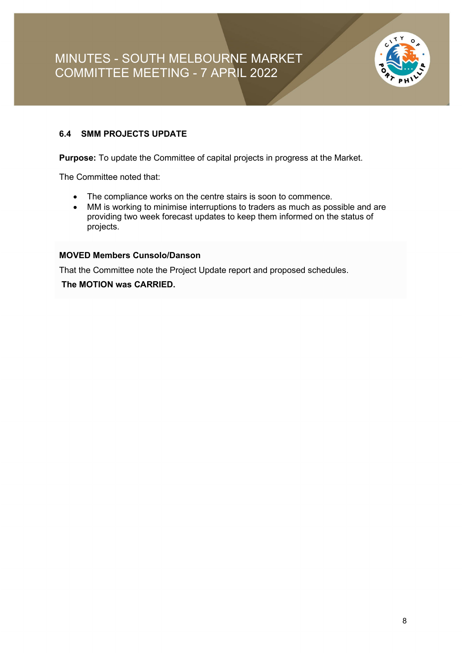

#### **6.4 SMM PROJECTS UPDATE**

**Purpose:** To update the Committee of capital projects in progress at the Market.

The Committee noted that:

- The compliance works on the centre stairs is soon to commence.
- MM is working to minimise interruptions to traders as much as possible and are providing two week forecast updates to keep them informed on the status of projects.

#### **MOVED Members Cunsolo/Danson**

That the Committee note the Project Update report and proposed schedules.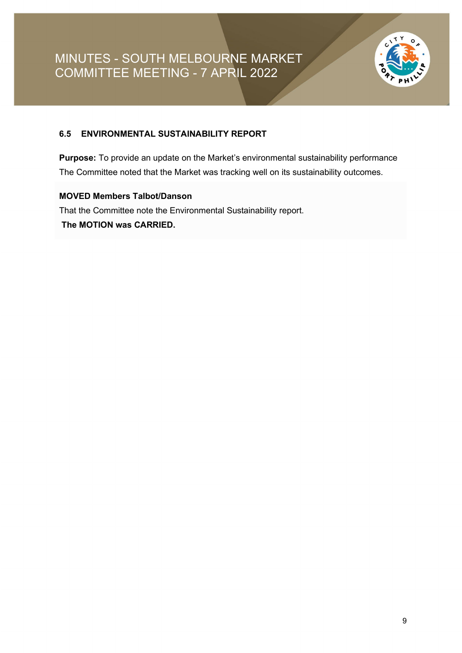

#### **6.5 ENVIRONMENTAL SUSTAINABILITY REPORT**

**Purpose:** To provide an update on the Market's environmental sustainability performance The Committee noted that the Market was tracking well on its sustainability outcomes.

#### **MOVED Members Talbot/Danson**

That the Committee note the Environmental Sustainability report. **The MOTION was CARRIED.**